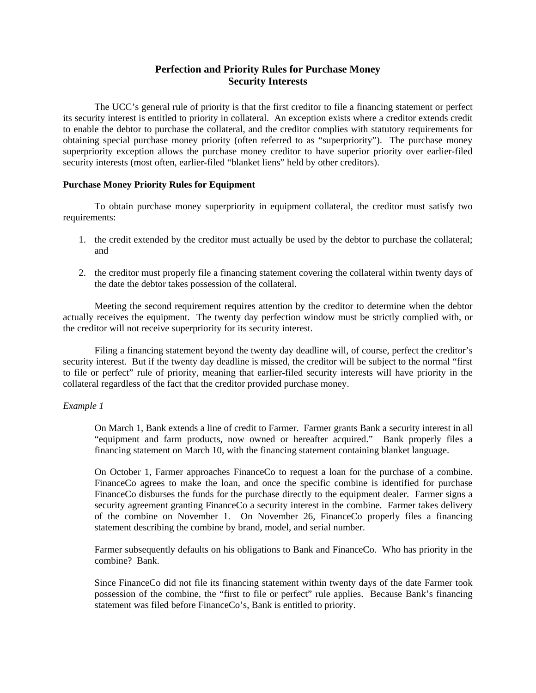# **Perfection and Priority Rules for Purchase Money Security Interests**

 The UCC's general rule of priority is that the first creditor to file a financing statement or perfect its security interest is entitled to priority in collateral. An exception exists where a creditor extends credit to enable the debtor to purchase the collateral, and the creditor complies with statutory requirements for obtaining special purchase money priority (often referred to as "superpriority"). The purchase money superpriority exception allows the purchase money creditor to have superior priority over earlier-filed security interests (most often, earlier-filed "blanket liens" held by other creditors).

# **Purchase Money Priority Rules for Equipment**

 To obtain purchase money superpriority in equipment collateral, the creditor must satisfy two requirements:

- 1. the credit extended by the creditor must actually be used by the debtor to purchase the collateral; and
- 2. the creditor must properly file a financing statement covering the collateral within twenty days of the date the debtor takes possession of the collateral.

 Meeting the second requirement requires attention by the creditor to determine when the debtor actually receives the equipment. The twenty day perfection window must be strictly complied with, or the creditor will not receive superpriority for its security interest.

 Filing a financing statement beyond the twenty day deadline will, of course, perfect the creditor's security interest. But if the twenty day deadline is missed, the creditor will be subject to the normal "first to file or perfect" rule of priority, meaning that earlier-filed security interests will have priority in the collateral regardless of the fact that the creditor provided purchase money.

#### *Example 1*

On March 1, Bank extends a line of credit to Farmer. Farmer grants Bank a security interest in all "equipment and farm products, now owned or hereafter acquired." Bank properly files a financing statement on March 10, with the financing statement containing blanket language.

On October 1, Farmer approaches FinanceCo to request a loan for the purchase of a combine. FinanceCo agrees to make the loan, and once the specific combine is identified for purchase FinanceCo disburses the funds for the purchase directly to the equipment dealer. Farmer signs a security agreement granting FinanceCo a security interest in the combine. Farmer takes delivery of the combine on November 1. On November 26, FinanceCo properly files a financing statement describing the combine by brand, model, and serial number.

Farmer subsequently defaults on his obligations to Bank and FinanceCo. Who has priority in the combine? Bank.

Since FinanceCo did not file its financing statement within twenty days of the date Farmer took possession of the combine, the "first to file or perfect" rule applies. Because Bank's financing statement was filed before FinanceCo's, Bank is entitled to priority.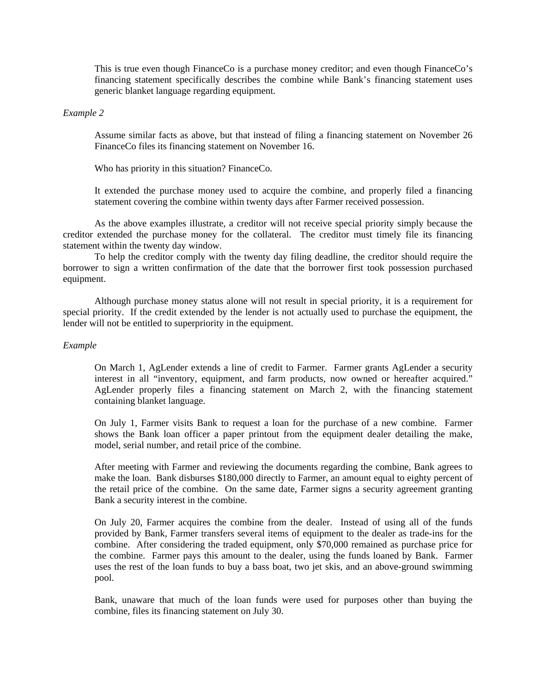This is true even though FinanceCo is a purchase money creditor; and even though FinanceCo's financing statement specifically describes the combine while Bank's financing statement uses generic blanket language regarding equipment.

### *Example 2*

Assume similar facts as above, but that instead of filing a financing statement on November 26 FinanceCo files its financing statement on November 16.

Who has priority in this situation? FinanceCo.

It extended the purchase money used to acquire the combine, and properly filed a financing statement covering the combine within twenty days after Farmer received possession.

 As the above examples illustrate, a creditor will not receive special priority simply because the creditor extended the purchase money for the collateral. The creditor must timely file its financing statement within the twenty day window.

 To help the creditor comply with the twenty day filing deadline, the creditor should require the borrower to sign a written confirmation of the date that the borrower first took possession purchased equipment.

 Although purchase money status alone will not result in special priority, it is a requirement for special priority. If the credit extended by the lender is not actually used to purchase the equipment, the lender will not be entitled to superpriority in the equipment.

#### *Example*

On March 1, AgLender extends a line of credit to Farmer. Farmer grants AgLender a security interest in all "inventory, equipment, and farm products, now owned or hereafter acquired." AgLender properly files a financing statement on March 2, with the financing statement containing blanket language.

On July 1, Farmer visits Bank to request a loan for the purchase of a new combine. Farmer shows the Bank loan officer a paper printout from the equipment dealer detailing the make, model, serial number, and retail price of the combine.

After meeting with Farmer and reviewing the documents regarding the combine, Bank agrees to make the loan. Bank disburses \$180,000 directly to Farmer, an amount equal to eighty percent of the retail price of the combine. On the same date, Farmer signs a security agreement granting Bank a security interest in the combine.

On July 20, Farmer acquires the combine from the dealer. Instead of using all of the funds provided by Bank, Farmer transfers several items of equipment to the dealer as trade-ins for the combine. After considering the traded equipment, only \$70,000 remained as purchase price for the combine. Farmer pays this amount to the dealer, using the funds loaned by Bank. Farmer uses the rest of the loan funds to buy a bass boat, two jet skis, and an above-ground swimming pool.

Bank, unaware that much of the loan funds were used for purposes other than buying the combine, files its financing statement on July 30.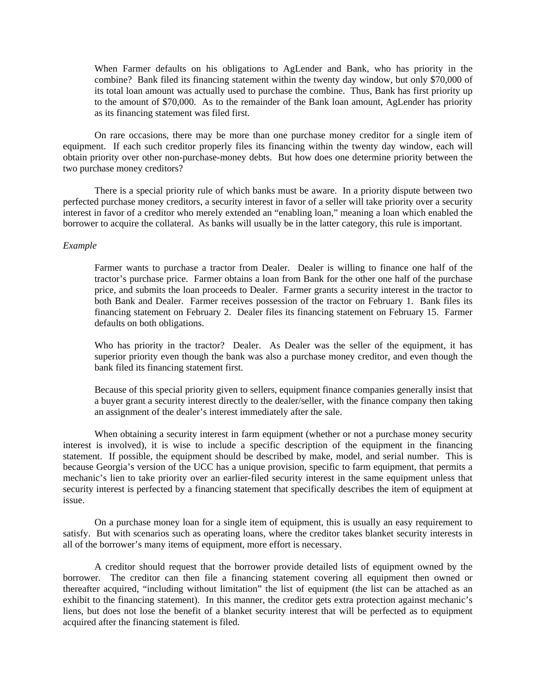When Farmer defaults on his obligations to AgLender and Bank, who has priority in the combine? Bank filed its financing statement within the twenty day window, but only \$70,000 of its total loan amount was actually used to purchase the combine. Thus, Bank has first priority up to the amount of \$70,000. As to the remainder of the Bank loan amount, AgLender has priority as its financing statement was filed first.

 On rare occasions, there may be more than one purchase money creditor for a single item of equipment. If each such creditor properly files its financing within the twenty day window, each will obtain priority over other non-purchase-money debts. But how does one determine priority between the two purchase money creditors?

 There is a special priority rule of which banks must be aware. In a priority dispute between two perfected purchase money creditors, a security interest in favor of a seller will take priority over a security interest in favor of a creditor who merely extended an "enabling loan," meaning a loan which enabled the borrower to acquire the collateral. As banks will usually be in the latter category, this rule is important.

# *Example*

Farmer wants to purchase a tractor from Dealer. Dealer is willing to finance one half of the tractor's purchase price. Farmer obtains a loan from Bank for the other one half of the purchase price, and submits the loan proceeds to Dealer. Farmer grants a security interest in the tractor to both Bank and Dealer. Farmer receives possession of the tractor on February 1. Bank files its financing statement on February 2. Dealer files its financing statement on February 15. Farmer defaults on both obligations.

Who has priority in the tractor? Dealer. As Dealer was the seller of the equipment, it has superior priority even though the bank was also a purchase money creditor, and even though the bank filed its financing statement first.

Because of this special priority given to sellers, equipment finance companies generally insist that a buyer grant a security interest directly to the dealer/seller, with the finance company then taking an assignment of the dealer's interest immediately after the sale.

 When obtaining a security interest in farm equipment (whether or not a purchase money security interest is involved), it is wise to include a specific description of the equipment in the financing statement. If possible, the equipment should be described by make, model, and serial number. This is because Georgia's version of the UCC has a unique provision, specific to farm equipment, that permits a mechanic's lien to take priority over an earlier-filed security interest in the same equipment unless that security interest is perfected by a financing statement that specifically describes the item of equipment at issue.

 On a purchase money loan for a single item of equipment, this is usually an easy requirement to satisfy. But with scenarios such as operating loans, where the creditor takes blanket security interests in all of the borrower's many items of equipment, more effort is necessary.

 A creditor should request that the borrower provide detailed lists of equipment owned by the borrower. The creditor can then file a financing statement covering all equipment then owned or thereafter acquired, "including without limitation" the list of equipment (the list can be attached as an exhibit to the financing statement). In this manner, the creditor gets extra protection against mechanic's liens, but does not lose the benefit of a blanket security interest that will be perfected as to equipment acquired after the financing statement is filed.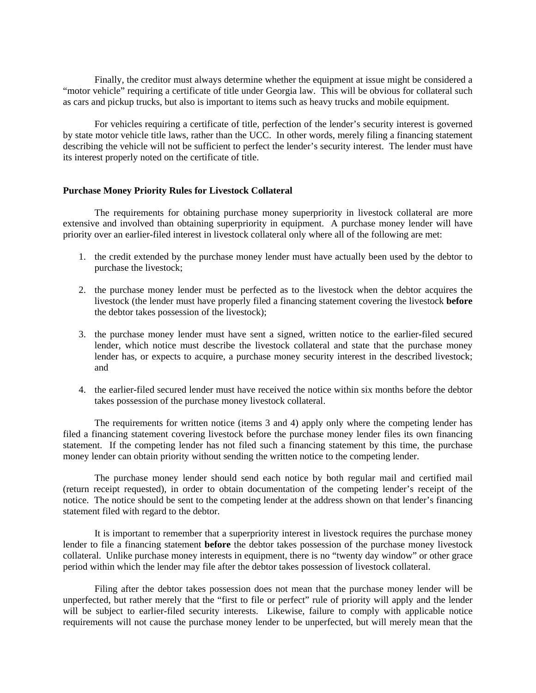Finally, the creditor must always determine whether the equipment at issue might be considered a "motor vehicle" requiring a certificate of title under Georgia law. This will be obvious for collateral such as cars and pickup trucks, but also is important to items such as heavy trucks and mobile equipment.

 For vehicles requiring a certificate of title, perfection of the lender's security interest is governed by state motor vehicle title laws, rather than the UCC. In other words, merely filing a financing statement describing the vehicle will not be sufficient to perfect the lender's security interest. The lender must have its interest properly noted on the certificate of title.

# **Purchase Money Priority Rules for Livestock Collateral**

 The requirements for obtaining purchase money superpriority in livestock collateral are more extensive and involved than obtaining superpriority in equipment. A purchase money lender will have priority over an earlier-filed interest in livestock collateral only where all of the following are met:

- 1. the credit extended by the purchase money lender must have actually been used by the debtor to purchase the livestock;
- 2. the purchase money lender must be perfected as to the livestock when the debtor acquires the livestock (the lender must have properly filed a financing statement covering the livestock **before** the debtor takes possession of the livestock);
- 3. the purchase money lender must have sent a signed, written notice to the earlier-filed secured lender, which notice must describe the livestock collateral and state that the purchase money lender has, or expects to acquire, a purchase money security interest in the described livestock; and
- 4. the earlier-filed secured lender must have received the notice within six months before the debtor takes possession of the purchase money livestock collateral.

 The requirements for written notice (items 3 and 4) apply only where the competing lender has filed a financing statement covering livestock before the purchase money lender files its own financing statement. If the competing lender has not filed such a financing statement by this time, the purchase money lender can obtain priority without sending the written notice to the competing lender.

 The purchase money lender should send each notice by both regular mail and certified mail (return receipt requested), in order to obtain documentation of the competing lender's receipt of the notice. The notice should be sent to the competing lender at the address shown on that lender's financing statement filed with regard to the debtor.

 It is important to remember that a superpriority interest in livestock requires the purchase money lender to file a financing statement **before** the debtor takes possession of the purchase money livestock collateral. Unlike purchase money interests in equipment, there is no "twenty day window" or other grace period within which the lender may file after the debtor takes possession of livestock collateral.

 Filing after the debtor takes possession does not mean that the purchase money lender will be unperfected, but rather merely that the "first to file or perfect" rule of priority will apply and the lender will be subject to earlier-filed security interests. Likewise, failure to comply with applicable notice requirements will not cause the purchase money lender to be unperfected, but will merely mean that the